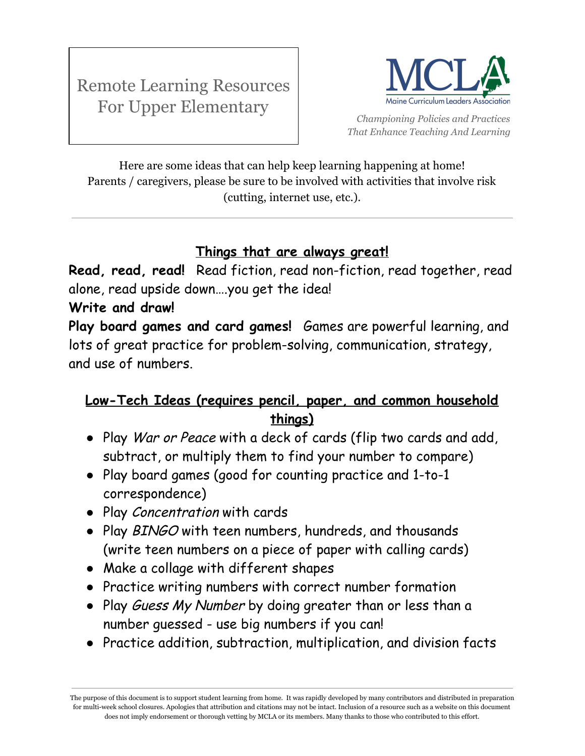

*Championing Policies and Practices That Enhance Teaching And Learning*

Here are some ideas that can help keep learning happening at home! Parents / caregivers, please be sure to be involved with activities that involve risk (cutting, internet use, etc.).

## **Things that are always great!**

**Read, read, read!** Read fiction, read non-fiction, read together, read alone, read upside down….you get the idea!

## **Write and draw!**

**Play board games and card games!** Games are powerful learning, and lots of great practice for problem-solving, communication, strategy, and use of numbers.

## **Low-Tech Ideas (requires pencil, paper, and common household things)**

- Play War or Peace with a deck of cards (flip two cards and add, subtract, or multiply them to find your number to compare)
- Play board games (good for counting practice and 1-to-1 correspondence)
- Play Concentration with cards
- Play BINGO with teen numbers, hundreds, and thousands (write teen numbers on a piece of paper with calling cards)
- Make a collage with different shapes
- Practice writing numbers with correct number formation
- Play Guess My Number by doing greater than or less than a number guessed - use big numbers if you can!
- Practice addition, subtraction, multiplication, and division facts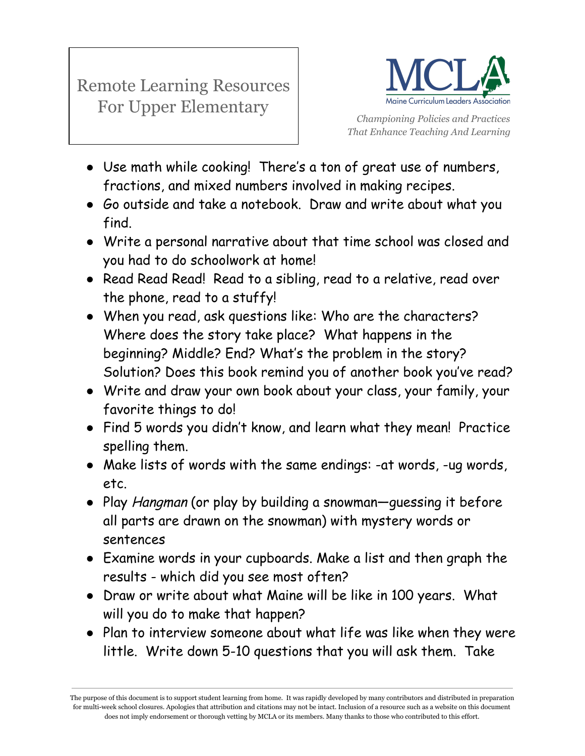

*Championing Policies and Practices That Enhance Teaching And Learning*

- Use math while cooking! There's a ton of great use of numbers, fractions, and mixed numbers involved in making recipes.
- Go outside and take a notebook. Draw and write about what you find.
- Write a personal narrative about that time school was closed and you had to do schoolwork at home!
- Read Read Read! Read to a sibling, read to a relative, read over the phone, read to a stuffy!
- When you read, ask questions like: Who are the characters? Where does the story take place? What happens in the beginning? Middle? End? What's the problem in the story? Solution? Does this book remind you of another book you've read?
- Write and draw your own book about your class, your family, your favorite things to do!
- Find 5 words you didn't know, and learn what they mean! Practice spelling them.
- Make lists of words with the same endings: -at words, -ug words, etc.
- Play Hangman (or play by building a snowman—guessing it before all parts are drawn on the snowman) with mystery words or sentences
- Examine words in your cupboards. Make a list and then graph the results - which did you see most often?
- Draw or write about what Maine will be like in 100 years. What will you do to make that happen?
- Plan to interview someone about what life was like when they were little. Write down 5-10 questions that you will ask them. Take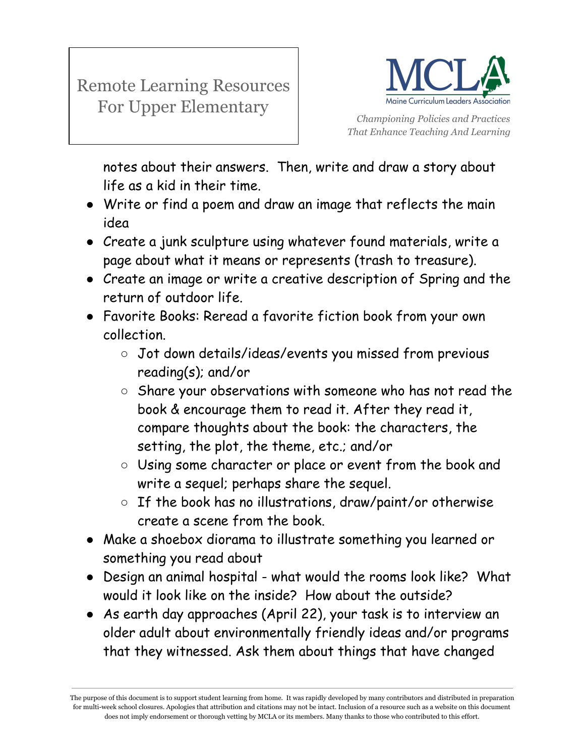

*Championing Policies and Practices That Enhance Teaching And Learning*

notes about their answers. Then, write and draw a story about life as a kid in their time.

- Write or find a poem and draw an image that reflects the main idea
- Create a junk sculpture using whatever found materials, write a page about what it means or represents (trash to treasure).
- Create an image or write a creative description of Spring and the return of outdoor life.
- Favorite Books: Reread a favorite fiction book from your own collection.
	- Jot down details/ideas/events you missed from previous reading(s); and/or
	- Share your observations with someone who has not read the book & encourage them to read it. After they read it, compare thoughts about the book: the characters, the setting, the plot, the theme, etc.; and/or
	- Using some character or place or event from the book and write a sequel; perhaps share the sequel.
	- If the book has no illustrations, draw/paint/or otherwise create a scene from the book.
- Make a shoebox diorama to illustrate something you learned or something you read about
- Design an animal hospital what would the rooms look like? What would it look like on the inside? How about the outside?
- As earth day approaches (April 22), your task is to interview an older adult about environmentally friendly ideas and/or programs that they witnessed. Ask them about things that have changed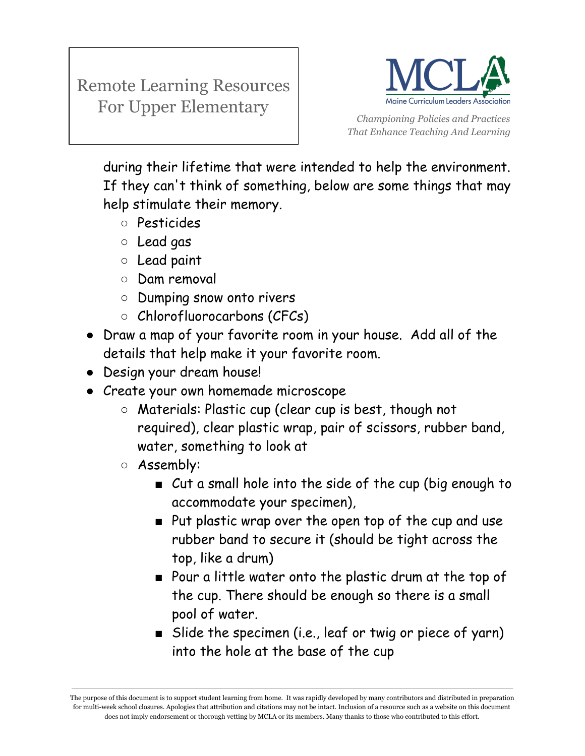

*Championing Policies and Practices That Enhance Teaching And Learning*

during their lifetime that were intended to help the environment. If they can't think of something, below are some things that may help stimulate their memory.

- Pesticides
- Lead gas
- Lead paint
- Dam removal
- Dumping snow onto rivers
- Chlorofluorocarbons (CFCs)
- Draw a map of your favorite room in your house. Add all of the details that help make it your favorite room.
- Design your dream house!
- Create your own homemade microscope
	- Materials: Plastic cup (clear cup is best, though not required), clear plastic wrap, pair of scissors, rubber band, water, something to look at
	- Assembly:
		- Cut a small hole into the side of the cup (big enough to accommodate your specimen),
		- Put plastic wrap over the open top of the cup and use rubber band to secure it (should be tight across the top, like a drum)
		- Pour a little water onto the plastic drum at the top of the cup. There should be enough so there is a small pool of water.
		- Slide the specimen (i.e., leaf or twig or piece of yarn) into the hole at the base of the cup

The purpose of this document is to support student learning from home. It was rapidly developed by many contributors and distributed in preparation for multi-week school closures. Apologies that attribution and citations may not be intact. Inclusion of a resource such as a website on this document does not imply endorsement or thorough vetting by MCLA or its members. Many thanks to those who contributed to this effort.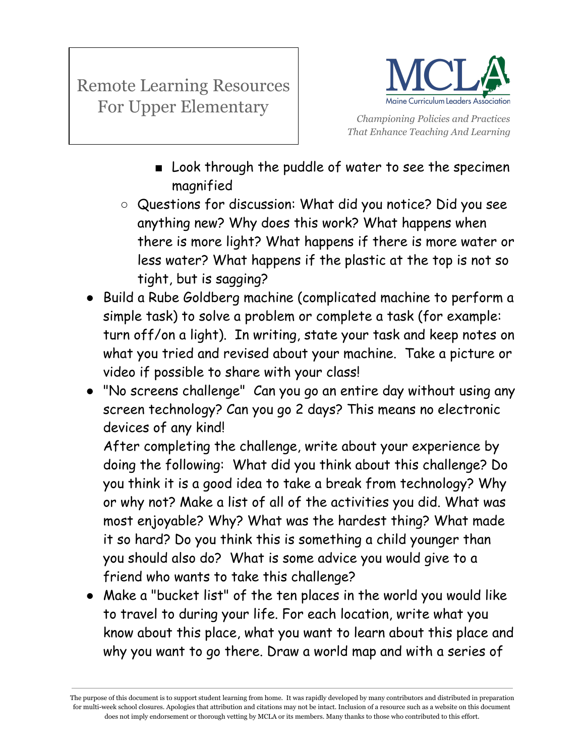

*Championing Policies and Practices That Enhance Teaching And Learning*

- Look through the puddle of water to see the specimen magnified
- Questions for discussion: What did you notice? Did you see anything new? Why does this work? What happens when there is more light? What happens if there is more water or less water? What happens if the plastic at the top is not so tight, but is sagging?
- Build a Rube Goldberg machine (complicated machine to perform a simple task) to solve a problem or complete a task (for example: turn off/on a light). In writing, state your task and keep notes on what you tried and revised about your machine. Take a picture or video if possible to share with your class!
- "No screens challenge" Can you go an entire day without using any screen technology? Can you go 2 days? This means no electronic devices of any kind!

After completing the challenge, write about your experience by doing the following: What did you think about this challenge? Do you think it is a good idea to take a break from technology? Why or why not? Make a list of all of the activities you did. What was most enjoyable? Why? What was the hardest thing? What made it so hard? Do you think this is something a child younger than you should also do? What is some advice you would give to a friend who wants to take this challenge?

● Make a "bucket list" of the ten places in the world you would like to travel to during your life. For each location, write what you know about this place, what you want to learn about this place and why you want to go there. Draw a world map and with a series of